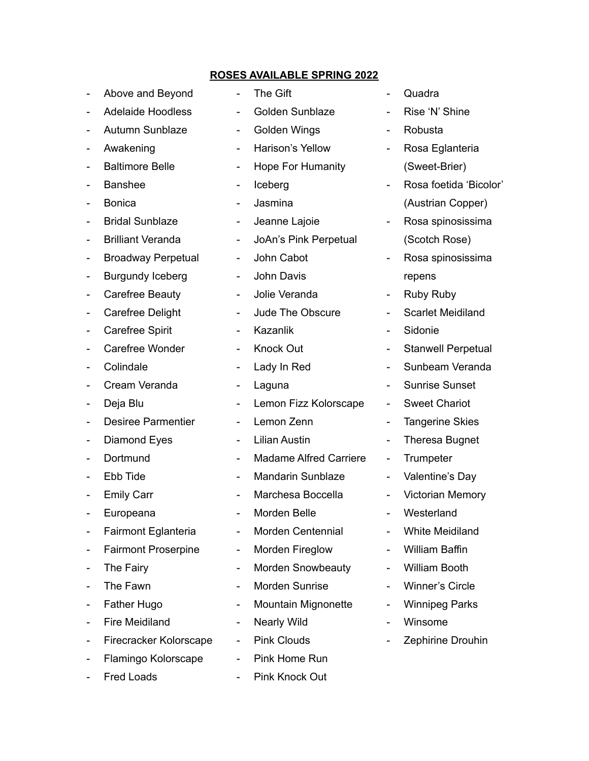## **ROSES AVAILABLE SPRING 2022**

- Above and Beyond
- Adelaide Hoodless
- Autumn Sunblaze
- Awakening
- Baltimore Belle
- **Banshee**
- **Bonica**
- Bridal Sunblaze
- Brilliant Veranda
- Broadway Perpetual
- Burgundy Iceberg
- Carefree Beauty
- Carefree Delight
- Carefree Spirit
- Carefree Wonder
- Colindale
- Cream Veranda
- Deja Blu
- Desiree Parmentier
- Diamond Eyes
- Dortmund
- Ebb Tide
- Emily Carr
- Europeana
- Fairmont Eglanteria
- Fairmont Proserpine
- The Fairy
- The Fawn
- Father Hugo
- Fire Meidiland
- Firecracker Kolorscape
- Flamingo Kolorscape
- Fred Loads
- The Gift
- Golden Sunblaze
- Golden Wings
- Harison's Yellow
- Hope For Humanity
- **Iceberg**
- Jasmina
- Jeanne Lajoie
- JoAn's Pink Perpetual
- John Cabot
- John Davis
- Jolie Veranda
- Jude The Obscure
- Kazanlik
- Knock Out
- Lady In Red
- Laguna
- Lemon Fizz Kolorscape
- Lemon Zenn
- Lilian Austin
- Madame Alfred Carriere
- Mandarin Sunblaze
- Marchesa Boccella
- Morden Belle
- Morden Centennial
- Morden Fireglow
- Morden Snowbeauty
- Morden Sunrise
- Mountain Mignonette
- Nearly Wild
- Pink Clouds
- Pink Home Run
- Pink Knock Out
- Quadra
- Rise 'N' Shine
- Robusta
- Rosa Eglanteria (Sweet-Brier)
- Rosa foetida 'Bicolor' (Austrian Copper)
- Rosa spinosissima (Scotch Rose)
- Rosa spinosissima repens
- Ruby Ruby
- Scarlet Meidiland
- Sidonie
- Stanwell Perpetual
- Sunbeam Veranda
- Sunrise Sunset
- Sweet Chariot
- Tangerine Skies
- Theresa Bugnet
- Trumpeter
- Valentine's Day
- Victorian Memory
- Westerland
- White Meidiland
- William Baffin
- William Booth
- Winner's Circle
- Winnipeg Parks
- Winsome
- Zephirine Drouhin
- 
-